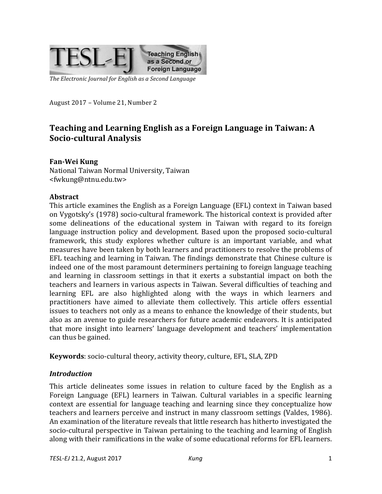

The Electronic Journal for English as a Second Language

August 2017 - Volume 21, Number 2

# Teaching and Learning English as a Foreign Language in Taiwan: A **Socio-cultural Analysis**

### **Fan-Wei Kung**

National Taiwan Normal University, Taiwan <fwkung@ntnu.edu.tw>

#### **Abstract**

This article examines the English as a Foreign Language (EFL) context in Taiwan based on Vygotsky's (1978) socio-cultural framework. The historical context is provided after some delineations of the educational system in Taiwan with regard to its foreign language instruction policy and development. Based upon the proposed socio-cultural framework, this study explores whether culture is an important variable, and what measures have been taken by both learners and practitioners to resolve the problems of EFL teaching and learning in Taiwan. The findings demonstrate that Chinese culture is indeed one of the most paramount determiners pertaining to foreign language teaching and learning in classroom settings in that it exerts a substantial impact on both the teachers and learners in various aspects in Taiwan. Several difficulties of teaching and learning EFL are also highlighted along with the ways in which learners and practitioners have aimed to alleviate them collectively. This article offers essential issues to teachers not only as a means to enhance the knowledge of their students, but also as an avenue to guide researchers for future academic endeavors. It is anticipated that more insight into learners' language development and teachers' implementation can thus be gained.

**Keywords**: socio-cultural theory, activity theory, culture, EFL, SLA, ZPD

### *Introduction*

This article delineates some issues in relation to culture faced by the English as a Foreign Language (EFL) learners in Taiwan. Cultural variables in a specific learning context are essential for language teaching and learning since they conceptualize how teachers and learners perceive and instruct in many classroom settings (Valdes, 1986). An examination of the literature reveals that little research has hitherto investigated the socio-cultural perspective in Taiwan pertaining to the teaching and learning of English along with their ramifications in the wake of some educational reforms for EFL learners.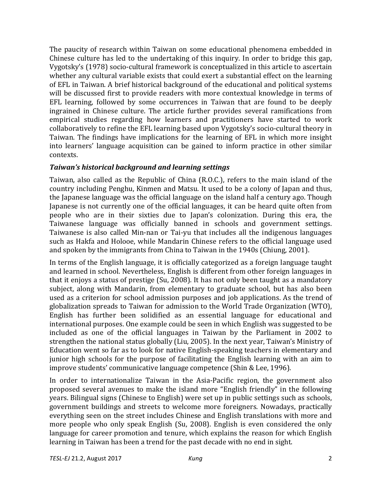The paucity of research within Taiwan on some educational phenomena embedded in Chinese culture has led to the undertaking of this inquiry. In order to bridge this gap, Vygotsky's (1978) socio-cultural framework is conceptualized in this article to ascertain whether any cultural variable exists that could exert a substantial effect on the learning of EFL in Taiwan. A brief historical background of the educational and political systems will be discussed first to provide readers with more contextual knowledge in terms of EFL learning, followed by some occurrences in Taiwan that are found to be deeply ingrained in Chinese culture. The article further provides several ramifications from empirical studies regarding how learners and practitioners have started to work collaboratively to refine the EFL learning based upon Vygotsky's socio-cultural theory in Taiwan. The findings have implications for the learning of EFL in which more insight into learners' language acquisition can be gained to inform practice in other similar contexts.

### *Taiwan's historical background and learning settings*

Taiwan, also called as the Republic of China (R.O.C.), refers to the main island of the country including Penghu, Kinmen and Matsu. It used to be a colony of Japan and thus, the Japanese language was the official language on the island half a century ago. Though Japanese is not currently one of the official languages, it can be heard quite often from people who are in their sixties due to Japan's colonization. During this era, the Taiwanese language was officially banned in schools and government settings. Taiwanese is also called Min-nan or Tai-yu that includes all the indigenous languages such as Hakfa and Holooe, while Mandarin Chinese refers to the official language used and spoken by the immigrants from China to Taiwan in the 1940s (Chiung, 2001).

In terms of the English language, it is officially categorized as a foreign language taught and learned in school. Nevertheless, English is different from other foreign languages in that it enjoys a status of prestige  $(Su, 2008)$ . It has not only been taught as a mandatory subject, along with Mandarin, from elementary to graduate school, but has also been used as a criterion for school admission purposes and job applications. As the trend of globalization spreads to Taiwan for admission to the World Trade Organization (WTO), English has further been solidified as an essential language for educational and international purposes. One example could be seen in which English was suggested to be included as one of the official languages in Taiwan by the Parliament in 2002 to strengthen the national status globally (Liu, 2005). In the next year, Taiwan's Ministry of Education went so far as to look for native English-speaking teachers in elementary and junior high schools for the purpose of facilitating the English learning with an aim to improve students' communicative language competence (Shin & Lee, 1996).

In order to internationalize Taiwan in the Asia-Pacific region, the government also proposed several avenues to make the island more "English friendly" in the following years. Bilingual signs (Chinese to English) were set up in public settings such as schools, government buildings and streets to welcome more foreigners. Nowadays, practically everything seen on the street includes Chinese and English translations with more and more people who only speak English (Su, 2008). English is even considered the only language for career promotion and tenure, which explains the reason for which English learning in Taiwan has been a trend for the past decade with no end in sight.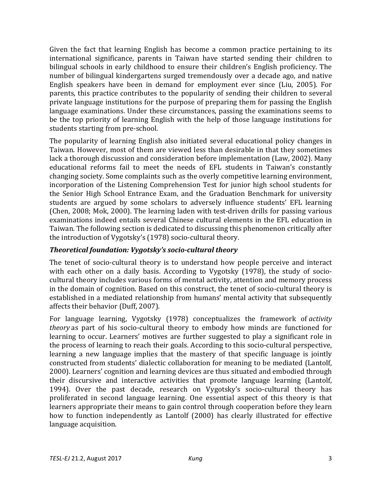Given the fact that learning English has become a common practice pertaining to its international significance, parents in Taiwan have started sending their children to bilingual schools in early childhood to ensure their children's English proficiency. The number of bilingual kindergartens surged tremendously over a decade ago, and native English speakers have been in demand for employment ever since (Liu, 2005). For parents, this practice contributes to the popularity of sending their children to several private language institutions for the purpose of preparing them for passing the English language examinations. Under these circumstances, passing the examinations seems to be the top priority of learning English with the help of those language institutions for students starting from pre-school.

The popularity of learning English also initiated several educational policy changes in Taiwan. However, most of them are viewed less than desirable in that they sometimes lack a thorough discussion and consideration before implementation (Law, 2002). Many educational reforms fail to meet the needs of EFL students in Taiwan's constantly changing society. Some complaints such as the overly competitive learning environment, incorporation of the Listening Comprehension Test for junior high school students for the Senior High School Entrance Exam, and the Graduation Benchmark for university students are argued by some scholars to adversely influence students' EFL learning (Chen, 2008; Mok, 2000). The learning laden with test-driven drills for passing various examinations indeed entails several Chinese cultural elements in the EFL education in Taiwan. The following section is dedicated to discussing this phenomenon critically after the introduction of Vygotsky's (1978) socio-cultural theory.

## *Theoretical foundation: Vygotsky's socio-cultural theory*

The tenet of socio-cultural theory is to understand how people perceive and interact with each other on a daily basis. According to Vygotsky (1978), the study of sociocultural theory includes various forms of mental activity, attention and memory process in the domain of cognition. Based on this construct, the tenet of socio-cultural theory is established in a mediated relationship from humans' mental activity that subsequently affects their behavior (Duff, 2007).

For language learning, Vygotsky (1978) conceptualizes the framework of *activity theory* as part of his socio-cultural theory to embody how minds are functioned for learning to occur. Learners' motives are further suggested to play a significant role in the process of learning to reach their goals. According to this socio-cultural perspective, learning a new language implies that the mastery of that specific language is jointly constructed from students' dialectic collaboration for meaning to be mediated (Lantolf, 2000). Learners' cognition and learning devices are thus situated and embodied through their discursive and interactive activities that promote language learning (Lantolf, 1994). Over the past decade, research on Vygotsky's socio-cultural theory has proliferated in second language learning. One essential aspect of this theory is that learners appropriate their means to gain control through cooperation before they learn how to function independently as Lantolf (2000) has clearly illustrated for effective language acquisition.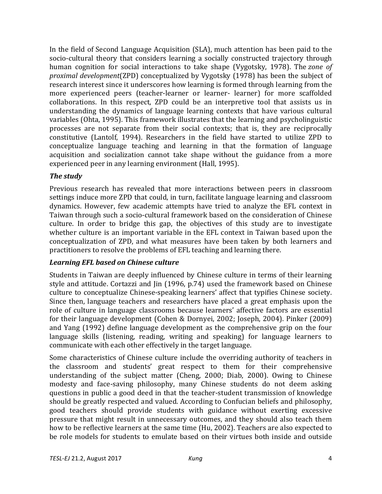In the field of Second Language Acquisition (SLA), much attention has been paid to the socio-cultural theory that considers learning a socially constructed trajectory through human cognition for social interactions to take shape (Vygotsky, 1978). The *zone of proximal development*(ZPD) conceptualized by Vygotsky (1978) has been the subject of research interest since it underscores how learning is formed through learning from the more experienced peers (teacher-learner or learner- learner) for more scaffolded collaborations. In this respect, ZPD could be an interpretive tool that assists us in understanding the dynamics of language learning contexts that have various cultural variables (Ohta, 1995). This framework illustrates that the learning and psycholinguistic processes are not separate from their social contexts; that is, they are reciprocally constitutive (Lantolf, 1994). Researchers in the field have started to utilize ZPD to conceptualize language teaching and learning in that the formation of language acquisition and socialization cannot take shape without the guidance from a more experienced peer in any learning environment (Hall, 1995).

# *The study*

Previous research has revealed that more interactions between peers in classroom settings induce more ZPD that could, in turn, facilitate language learning and classroom dynamics. However, few academic attempts have tried to analyze the EFL context in Taiwan through such a socio-cultural framework based on the consideration of Chinese culture. In order to bridge this gap, the objectives of this study are to investigate whether culture is an important variable in the EFL context in Taiwan based upon the conceptualization of ZPD, and what measures have been taken by both learners and practitioners to resolve the problems of EFL teaching and learning there.

# *Learning EFL based on Chinese culture*

Students in Taiwan are deeply influenced by Chinese culture in terms of their learning style and attitude. Cortazzi and Jin (1996, p.74) used the framework based on Chinese culture to conceptualize Chinese-speaking learners' affect that typifies Chinese society. Since then, language teachers and researchers have placed a great emphasis upon the role of culture in language classrooms because learners' affective factors are essential for their language development (Cohen & Dornyei, 2002; Joseph, 2004). Pinker (2009) and Yang (1992) define language development as the comprehensive grip on the four language skills (listening, reading, writing and speaking) for language learners to communicate with each other effectively in the target language.

Some characteristics of Chinese culture include the overriding authority of teachers in the classroom and students' great respect to them for their comprehensive understanding of the subject matter (Cheng, 2000; Diab, 2000). Owing to Chinese modesty and face-saving philosophy, many Chinese students do not deem asking questions in public a good deed in that the teacher-student transmission of knowledge should be greatly respected and valued. According to Confucian beliefs and philosophy, good teachers should provide students with guidance without exerting excessive pressure that might result in unnecessary outcomes, and they should also teach them how to be reflective learners at the same time (Hu, 2002). Teachers are also expected to be role models for students to emulate based on their virtues both inside and outside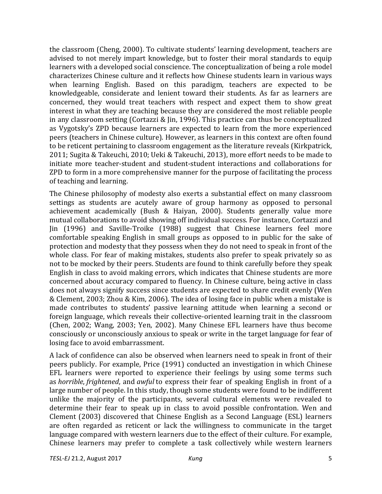the classroom (Cheng, 2000). To cultivate students' learning development, teachers are advised to not merely impart knowledge, but to foster their moral standards to equip learners with a developed social conscience. The conceptualization of being a role model characterizes Chinese culture and it reflects how Chinese students learn in various ways when learning English. Based on this paradigm, teachers are expected to be knowledgeable, considerate and lenient toward their students. As far as learners are concerned, they would treat teachers with respect and expect them to show great interest in what they are teaching because they are considered the most reliable people in any classroom setting (Cortazzi &  $\sin 1996$ ). This practice can thus be conceptualized as Vygotsky's ZPD because learners are expected to learn from the more experienced peers (teachers in Chinese culture). However, as learners in this context are often found to be reticent pertaining to classroom engagement as the literature reveals (Kirkpatrick, 2011; Sugita & Takeuchi, 2010; Ueki & Takeuchi, 2013), more effort needs to be made to initiate more teacher-student and student-student interactions and collaborations for ZPD to form in a more comprehensive manner for the purpose of facilitating the process of teaching and learning.

The Chinese philosophy of modesty also exerts a substantial effect on many classroom settings as students are acutely aware of group harmony as opposed to personal achievement academically (Bush & Haiyan, 2000). Students generally value more mutual collaborations to avoid showing off individual success. For instance, Cortazzi and Jin (1996) and Saville-Troike (1988) suggest that Chinese learners feel more comfortable speaking English in small groups as opposed to in public for the sake of protection and modesty that they possess when they do not need to speak in front of the whole class. For fear of making mistakes, students also prefer to speak privately so as not to be mocked by their peers. Students are found to think carefully before they speak English in class to avoid making errors, which indicates that Chinese students are more concerned about accuracy compared to fluency. In Chinese culture, being active in class does not always signify success since students are expected to share credit evenly (Wen & Clement, 2003; Zhou & Kim, 2006). The idea of losing face in public when a mistake is made contributes to students' passive learning attitude when learning a second or foreign language, which reveals their collective-oriented learning trait in the classroom (Chen, 2002; Wang, 2003; Yen, 2002). Many Chinese EFL learners have thus become consciously or unconsciously anxious to speak or write in the target language for fear of losing face to avoid embarrassment.

A lack of confidence can also be observed when learners need to speak in front of their peers publicly. For example, Price (1991) conducted an investigation in which Chinese EFL learners were reported to experience their feelings by using some terms such as *horrible*, *frightened*, and *awful* to express their fear of speaking English in front of a large number of people. In this study, though some students were found to be indifferent unlike the majority of the participants, several cultural elements were revealed to determine their fear to speak up in class to avoid possible confrontation. Wen and Clement (2003) discovered that Chinese English as a Second Language (ESL) learners are often regarded as reticent or lack the willingness to communicate in the target language compared with western learners due to the effect of their culture. For example, Chinese learners may prefer to complete a task collectively while western learners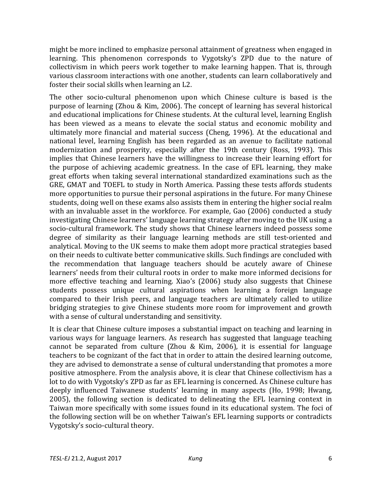might be more inclined to emphasize personal attainment of greatness when engaged in learning. This phenomenon corresponds to Vygotsky's ZPD due to the nature of collectivism in which peers work together to make learning happen. That is, through various classroom interactions with one another, students can learn collaboratively and foster their social skills when learning an L2.

The other socio-cultural phenomenon upon which Chinese culture is based is the purpose of learning  $(Zhou & Kim, 2006)$ . The concept of learning has several historical and educational implications for Chinese students. At the cultural level, learning English has been viewed as a means to elevate the social status and economic mobility and ultimately more financial and material success (Cheng, 1996). At the educational and national level, learning English has been regarded as an avenue to facilitate national modernization and prosperity, especially after the 19th century (Ross, 1993). This implies that Chinese learners have the willingness to increase their learning effort for the purpose of achieving academic greatness. In the case of EFL learning, they make great efforts when taking several international standardized examinations such as the GRE, GMAT and TOEFL to study in North America. Passing these tests affords students more opportunities to pursue their personal aspirations in the future. For many Chinese students, doing well on these exams also assists them in entering the higher social realm with an invaluable asset in the workforce. For example, Gao (2006) conducted a study investigating Chinese learners' language learning strategy after moving to the UK using a socio-cultural framework. The study shows that Chinese learners indeed possess some degree of similarity as their language learning methods are still test-oriented and analytical. Moving to the UK seems to make them adopt more practical strategies based on their needs to cultivate better communicative skills. Such findings are concluded with the recommendation that language teachers should be acutely aware of Chinese learners' needs from their cultural roots in order to make more informed decisions for more effective teaching and learning. Xiao's (2006) study also suggests that Chinese students possess unique cultural aspirations when learning a foreign language compared to their Irish peers, and language teachers are ultimately called to utilize bridging strategies to give Chinese students more room for improvement and growth with a sense of cultural understanding and sensitivity.

It is clear that Chinese culture imposes a substantial impact on teaching and learning in various ways for language learners. As research has suggested that language teaching cannot be separated from culture (Zhou & Kim, 2006), it is essential for language teachers to be cognizant of the fact that in order to attain the desired learning outcome, they are advised to demonstrate a sense of cultural understanding that promotes a more positive atmosphere. From the analysis above, it is clear that Chinese collectivism has a lot to do with Vygotsky's ZPD as far as EFL learning is concerned. As Chinese culture has deeply influenced Taiwanese students' learning in many aspects (Ho, 1998; Hwang, 2005), the following section is dedicated to delineating the EFL learning context in Taiwan more specifically with some issues found in its educational system. The foci of the following section will be on whether Taiwan's EFL learning supports or contradicts Vygotsky's socio-cultural theory.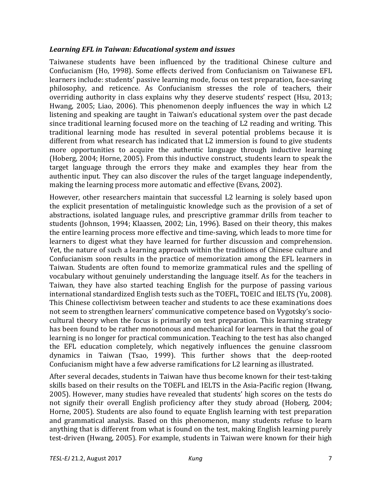### Learning EFL in Taiwan: Educational system and *issues*

Taiwanese students have been influenced by the traditional Chinese culture and Confucianism (Ho, 1998). Some effects derived from Confucianism on Taiwanese EFL learners include: students' passive learning mode, focus on test preparation, face-saving philosophy, and reticence. As Confucianism stresses the role of teachers, their overriding authority in class explains why they deserve students' respect (Hsu, 2013; Hwang,  $2005$ ; Liao,  $2006$ ). This phenomenon deeply influences the way in which L2 listening and speaking are taught in Taiwan's educational system over the past decade since traditional learning focused more on the teaching of L2 reading and writing. This traditional learning mode has resulted in several potential problems because it is different from what research has indicated that L2 immersion is found to give students more opportunities to acquire the authentic language through inductive learning (Hoberg, 2004; Horne, 2005). From this inductive construct, students learn to speak the target language through the errors they make and examples they hear from the authentic input. They can also discover the rules of the target language independently, making the learning process more automatic and effective (Evans, 2002).

However, other researchers maintain that successful L2 learning is solely based upon the explicit presentation of metalinguistic knowledge such as the provision of a set of abstractions, isolated language rules, and prescriptive grammar drills from teacher to students (Johnson, 1994; Klaassen, 2002; Lin, 1996). Based on their theory, this makes the entire learning process more effective and time-saving, which leads to more time for learners to digest what they have learned for further discussion and comprehension. Yet, the nature of such a learning approach within the traditions of Chinese culture and Confucianism soon results in the practice of memorization among the EFL learners in Taiwan. Students are often found to memorize grammatical rules and the spelling of vocabulary without genuinely understanding the language itself. As for the teachers in Taiwan, they have also started teaching English for the purpose of passing various international standardized English tests such as the TOEFL, TOEIC and IELTS (Yu, 2008). This Chinese collectivism between teacher and students to ace these examinations does not seem to strengthen learners' communicative competence based on Vygotsky's sociocultural theory when the focus is primarily on test preparation. This learning strategy has been found to be rather monotonous and mechanical for learners in that the goal of learning is no longer for practical communication. Teaching to the test has also changed the EFL education completely, which negatively influences the genuine classroom dynamics in Taiwan (Tsao, 1999). This further shows that the deep-rooted Confucianism might have a few adverse ramifications for L2 learning as illustrated.

After several decades, students in Taiwan have thus become known for their test-taking skills based on their results on the TOEFL and IELTS in the Asia-Pacific region (Hwang, 2005). However, many studies have revealed that students' high scores on the tests do not signify their overall English proficiency after they study abroad (Hoberg, 2004; Horne, 2005). Students are also found to equate English learning with test preparation and grammatical analysis. Based on this phenomenon, many students refuse to learn anything that is different from what is found on the test, making English learning purely test-driven (Hwang, 2005). For example, students in Taiwan were known for their high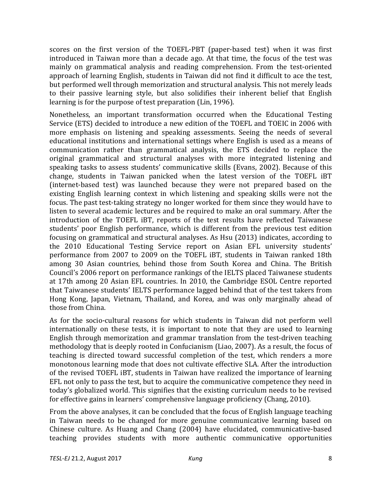scores on the first version of the TOEFL-PBT (paper-based test) when it was first introduced in Taiwan more than a decade ago. At that time, the focus of the test was mainly on grammatical analysis and reading comprehension. From the test-oriented approach of learning English, students in Taiwan did not find it difficult to ace the test, but performed well through memorization and structural analysis. This not merely leads to their passive learning style, but also solidifies their inherent belief that English learning is for the purpose of test preparation (Lin, 1996).

Nonetheless, an important transformation occurred when the Educational Testing Service (ETS) decided to introduce a new edition of the TOEFL and TOEIC in 2006 with more emphasis on listening and speaking assessments. Seeing the needs of several educational institutions and international settings where English is used as a means of communication rather than grammatical analysis, the ETS decided to replace the original grammatical and structural analyses with more integrated listening and speaking tasks to assess students' communicative skills (Evans, 2002). Because of this change, students in Taiwan panicked when the latest version of the TOEFL iBT (internet-based test) was launched because they were not prepared based on the existing English learning context in which listening and speaking skills were not the focus. The past test-taking strategy no longer worked for them since they would have to listen to several academic lectures and be required to make an oral summary. After the introduction of the TOEFL iBT, reports of the test results have reflected Taiwanese students' poor English performance, which is different from the previous test edition focusing on grammatical and structural analyses. As Hsu (2013) indicates, according to the 2010 Educational Testing Service report on Asian EFL university students' performance from 2007 to 2009 on the TOEFL iBT, students in Taiwan ranked 18th among 30 Asian countries, behind those from South Korea and China. The British Council's 2006 report on performance rankings of the IELTS placed Taiwanese students at 17th among 20 Asian EFL countries. In 2010, the Cambridge ESOL Centre reported that Taiwanese students' IELTS performance lagged behind that of the test takers from Hong Kong, Japan, Vietnam, Thailand, and Korea, and was only marginally ahead of those from China.

As for the socio-cultural reasons for which students in Taiwan did not perform well internationally on these tests, it is important to note that they are used to learning English through memorization and grammar translation from the test-driven teaching methodology that is deeply rooted in Confucianism (Liao, 2007). As a result, the focus of teaching is directed toward successful completion of the test, which renders a more monotonous learning mode that does not cultivate effective SLA. After the introduction of the revised TOEFL iBT, students in Taiwan have realized the importance of learning EFL not only to pass the test, but to acquire the communicative competence they need in today's globalized world. This signifies that the existing curriculum needs to be revised for effective gains in learners' comprehensive language proficiency (Chang, 2010).

From the above analyses, it can be concluded that the focus of English language teaching in Taiwan needs to be changed for more genuine communicative learning based on Chinese culture. As Huang and Chang (2004) have elucidated, communicative-based teaching provides students with more authentic communicative opportunities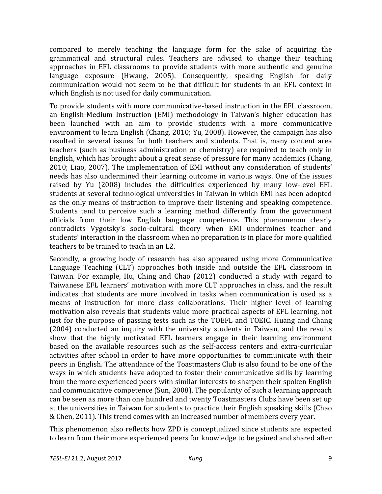compared to merely teaching the language form for the sake of acquiring the grammatical and structural rules. Teachers are advised to change their teaching approaches in EFL classrooms to provide students with more authentic and genuine language exposure (Hwang, 2005). Consequently, speaking English for daily communication would not seem to be that difficult for students in an EFL context in which English is not used for daily communication.

To provide students with more communicative-based instruction in the EFL classroom, an English-Medium Instruction (EMI) methodology in Taiwan's higher education has been launched with an aim to provide students with a more communicative environment to learn English (Chang, 2010; Yu, 2008). However, the campaign has also resulted in several issues for both teachers and students. That is, many content area teachers (such as business administration or chemistry) are required to teach only in English, which has brought about a great sense of pressure for many academics (Chang, 2010; Liao, 2007). The implementation of EMI without any consideration of students' needs has also undermined their learning outcome in various ways. One of the issues raised by Yu (2008) includes the difficulties experienced by many low-level EFL students at several technological universities in Taiwan in which EMI has been adopted as the only means of instruction to improve their listening and speaking competence. Students tend to perceive such a learning method differently from the government officials from their low English language competence. This phenomenon clearly contradicts Vygotsky's socio-cultural theory when EMI undermines teacher and students' interaction in the classroom when no preparation is in place for more qualified teachers to be trained to teach in an L2.

Secondly, a growing body of research has also appeared using more Communicative Language Teaching (CLT) approaches both inside and outside the EFL classroom in Taiwan. For example, Hu, Ching and Chao (2012) conducted a study with regard to Taiwanese EFL learners' motivation with more CLT approaches in class, and the result indicates that students are more involved in tasks when communication is used as a means of instruction for more class collaborations. Their higher level of learning motivation also reveals that students value more practical aspects of EFL learning, not just for the purpose of passing tests such as the TOEFL and TOEIC. Huang and Chang (2004) conducted an inquiry with the university students in Taiwan, and the results show that the highly motivated EFL learners engage in their learning environment based on the available resources such as the self-access centers and extra-curricular activities after school in order to have more opportunities to communicate with their peers in English. The attendance of the Toastmasters Club is also found to be one of the ways in which students have adopted to foster their communicative skills by learning from the more experienced peers with similar interests to sharpen their spoken English and communicative competence (Sun, 2008). The popularity of such a learning approach can be seen as more than one hundred and twenty Toastmasters Clubs have been set up at the universities in Taiwan for students to practice their English speaking skills (Chao & Chen, 2011). This trend comes with an increased number of members every year.

This phenomenon also reflects how ZPD is conceptualized since students are expected to learn from their more experienced peers for knowledge to be gained and shared after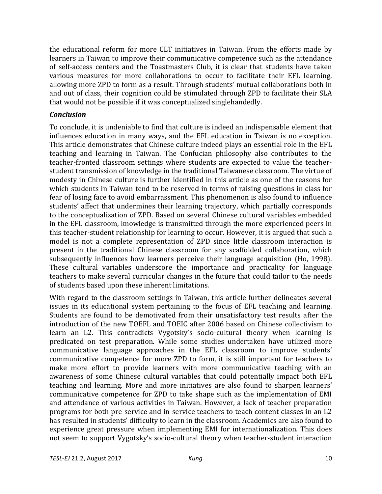the educational reform for more CLT initiatives in Taiwan. From the efforts made by learners in Taiwan to improve their communicative competence such as the attendance of self-access centers and the Toastmasters Club, it is clear that students have taken various measures for more collaborations to occur to facilitate their EFL learning, allowing more ZPD to form as a result. Through students' mutual collaborations both in and out of class, their cognition could be stimulated through ZPD to facilitate their SLA that would not be possible if it was conceptualized singlehandedly.

### *Conclusion*

To conclude, it is undeniable to find that culture is indeed an indispensable element that influences education in many ways, and the EFL education in Taiwan is no exception. This article demonstrates that Chinese culture indeed plays an essential role in the EFL teaching and learning in Taiwan. The Confucian philosophy also contributes to the teacher-fronted classroom settings where students are expected to value the teacherstudent transmission of knowledge in the traditional Taiwanese classroom. The virtue of modesty in Chinese culture is further identified in this article as one of the reasons for which students in Taiwan tend to be reserved in terms of raising questions in class for fear of losing face to avoid embarrassment. This phenomenon is also found to influence students' affect that undermines their learning trajectory, which partially corresponds to the conceptualization of ZPD. Based on several Chinese cultural variables embedded in the EFL classroom, knowledge is transmitted through the more experienced peers in this teacher-student relationship for learning to occur. However, it is argued that such a model is not a complete representation of ZPD since little classroom interaction is present in the traditional Chinese classroom for any scaffolded collaboration, which subsequently influences how learners perceive their language acquisition (Ho, 1998). These cultural variables underscore the importance and practicality for language teachers to make several curricular changes in the future that could tailor to the needs of students based upon these inherent limitations.

With regard to the classroom settings in Taiwan, this article further delineates several issues in its educational system pertaining to the focus of EFL teaching and learning. Students are found to be demotivated from their unsatisfactory test results after the introduction of the new TOEFL and TOEIC after 2006 based on Chinese collectivism to learn an L2. This contradicts Vygotsky's socio-cultural theory when learning is predicated on test preparation. While some studies undertaken have utilized more communicative language approaches in the EFL classroom to improve students' communicative competence for more ZPD to form, it is still important for teachers to make more effort to provide learners with more communicative teaching with an awareness of some Chinese cultural variables that could potentially impact both EFL teaching and learning. More and more initiatives are also found to sharpen learners' communicative competence for ZPD to take shape such as the implementation of EMI and attendance of various activities in Taiwan. However, a lack of teacher preparation programs for both pre-service and in-service teachers to teach content classes in an L2 has resulted in students' difficulty to learn in the classroom. Academics are also found to experience great pressure when implementing EMI for internationalization. This does not seem to support Vygotsky's socio-cultural theory when teacher-student interaction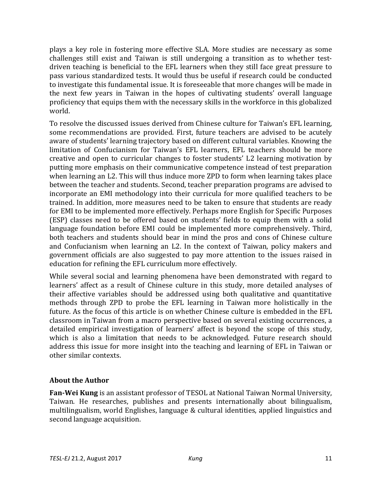plays a key role in fostering more effective SLA. More studies are necessary as some challenges still exist and Taiwan is still undergoing a transition as to whether testdriven teaching is beneficial to the EFL learners when they still face great pressure to pass various standardized tests. It would thus be useful if research could be conducted to investigate this fundamental issue. It is foreseeable that more changes will be made in the next few years in Taiwan in the hopes of cultivating students' overall language proficiency that equips them with the necessary skills in the workforce in this globalized world.

To resolve the discussed issues derived from Chinese culture for Taiwan's EFL learning, some recommendations are provided. First, future teachers are advised to be acutely aware of students' learning trajectory based on different cultural variables. Knowing the limitation of Confucianism for Taiwan's EFL learners, EFL teachers should be more creative and open to curricular changes to foster students' L2 learning motivation by putting more emphasis on their communicative competence instead of test preparation when learning an L2. This will thus induce more ZPD to form when learning takes place between the teacher and students. Second, teacher preparation programs are advised to incorporate an EMI methodology into their curricula for more qualified teachers to be trained. In addition, more measures need to be taken to ensure that students are ready for EMI to be implemented more effectively. Perhaps more English for Specific Purposes (ESP) classes need to be offered based on students' fields to equip them with a solid language foundation before EMI could be implemented more comprehensively. Third, both teachers and students should bear in mind the pros and cons of Chinese culture and Confucianism when learning an L2. In the context of Taiwan, policy makers and government officials are also suggested to pay more attention to the issues raised in education for refining the EFL curriculum more effectively.

While several social and learning phenomena have been demonstrated with regard to learners' affect as a result of Chinese culture in this study, more detailed analyses of their affective variables should be addressed using both qualitative and quantitative methods through ZPD to probe the EFL learning in Taiwan more holistically in the future. As the focus of this article is on whether Chinese culture is embedded in the EFL classroom in Taiwan from a macro perspective based on several existing occurrences, a detailed empirical investigation of learners' affect is beyond the scope of this study, which is also a limitation that needs to be acknowledged. Future research should address this issue for more insight into the teaching and learning of EFL in Taiwan or other similar contexts.

# **About the Author**

**Fan-Wei Kung** is an assistant professor of TESOL at National Taiwan Normal University, Taiwan. He researches, publishes and presents internationally about bilingualism, multilingualism, world Englishes, language  $&$  cultural identities, applied linguistics and second language acquisition.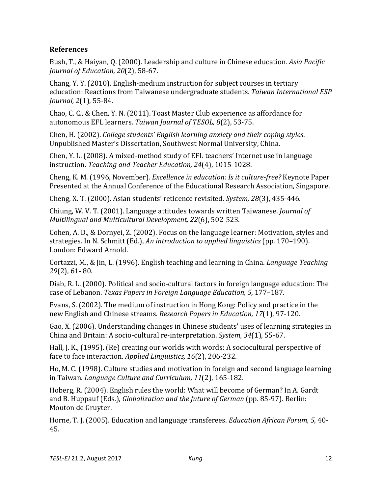## **References**

Bush, T., & Haiyan, Q. (2000). Leadership and culture in Chinese education. Asia Pacific *Journal of Education, 20*(2), 58-67.

Chang, Y. Y. (2010). English-medium instruction for subject courses in tertiary education: Reactions from Taiwanese undergraduate students. *Taiwan International ESP Journal, 2(1), 55-84.* 

Chao, C. C., & Chen, Y. N. (2011). Toast Master Club experience as affordance for autonomous EFL learners. *Taiwan Journal of TESOL, 8*(2), 53-75.

Chen, H. (2002). *College students' English learning anxiety and their coping styles*. Unpublished Master's Dissertation, Southwest Normal University, China.

Chen, Y. L. (2008). A mixed-method study of EFL teachers' Internet use in language instruction. *Teaching and Teacher Education, 24*(4), 1015-1028.

Cheng, K. M. (1996, November). *Excellence in education: Is it culture-free?* Keynote Paper Presented at the Annual Conference of the Educational Research Association, Singapore.

Cheng, X. T. (2000). Asian students' reticence revisited. *System, 28*(3), 435-446.

Chiung, W. V. T. (2001). Language attitudes towards written Taiwanese. *Journal of Multilingual and Multicultural Development, 22*(6), 502-523.

Cohen, A. D., & Dornyei, Z. (2002). Focus on the language learner: Motivation, styles and strategies. In N. Schmitt (Ed.), *An introduction to applied linguistics* (pp. 170–190). London: Edward Arnold.

Cortazzi, M., & Jin, L. (1996). English teaching and learning in China. *Language Teaching 29*(2), 61- 80.

Diab, R. L. (2000). Political and socio-cultural factors in foreign language education: The case of Lebanon. *Texas Papers in Foreign Language Education, 5*, 177–187.

Evans, S. (2002). The medium of instruction in Hong Kong: Policy and practice in the new English and Chinese streams. *Research Papers in Education, 17*(1), 97-120.

Gao, X. (2006). Understanding changes in Chinese students' uses of learning strategies in China and Britain: A socio-cultural re-interpretation. *System*, 34(1), 55-67.

Hall, J. K., (1995). (Re) creating our worlds with words: A sociocultural perspective of face to face interaction. *Applied Linguistics*, 16(2), 206-232.

Ho, M. C. (1998). Culture studies and motivation in foreign and second language learning in Taiwan. *Language Culture and Curriculum, 11*(2), 165-182.

Hoberg, R. (2004). English rules the world: What will become of German? In A. Gardt and B. Huppauf (Eds.), *Globalization and the future of German* (pp. 85-97). Berlin: Mouton de Gruyter.

Horne, T. J. (2005). Education and language transferees. *Education African Forum, 5, 40-*45.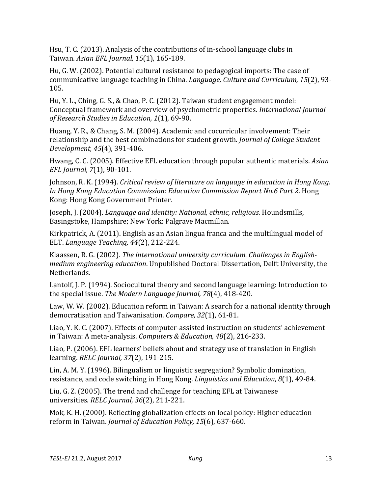Hsu, T. C. (2013). Analysis of the contributions of in-school language clubs in Taiwan. *Asian EFL Journal, 15*(1), 165-189.

Hu, G. W. (2002). Potential cultural resistance to pedagogical imports: The case of communicative language teaching in China. *Language, Culture and Curriculum, 15*(2), 93- 105.

Hu, Y. L., Ching, G. S., & Chao, P. C. (2012). Taiwan student engagement model: Conceptual framework and overview of psychometric properties. *International Journal of Research Studies in Education, 1*(1), 69-90.

Huang, Y. R., & Chang, S. M. (2004). Academic and cocurricular involvement: Their relationship and the best combinations for student growth. *Journal of College Student Development, 45*(4), 391-406.

Hwang, C. C. (2005). Effective EFL education through popular authentic materials. Asian *EFL Journal, 7*(1), 90-101.

Johnson, R. K. (1994). *Critical review of literature on language in education in Hong Kong. In Hong Kong Education Commission: Education Commission Report No.6 Part 2*. Hong Kong: Hong Kong Government Printer.

Joseph, J. (2004). *Language and identity: National, ethnic, religious*. Houndsmills, Basingstoke, Hampshire; New York: Palgrave Macmillan.

Kirkpatrick, A.  $(2011)$ . English as an Asian lingua franca and the multilingual model of ELT. *Language Teaching, 44*(2), 212-224.

Klaassen, R. G. (2002). *The international university curriculum. Challenges in Englishmedium engineering education*. Unpublished Doctoral Dissertation, Delft University, the Netherlands.

Lantolf, J. P. (1994). Sociocultural theory and second language learning: Introduction to the special issue. *The Modern Language Journal, 78*(4), 418-420.

Law, W. W. (2002). Education reform in Taiwan: A search for a national identity through democratisation and Taiwanisation. *Compare*, 32(1), 61-81.

Liao, Y. K. C. (2007). Effects of computer-assisted instruction on students' achievement in Taiwan: A meta-analysis. *Computers & Education, 48*(2), 216-233.

Liao, P. (2006). EFL learners' beliefs about and strategy use of translation in English learning. *RELC Journal, 37*(2), 191-215.

Lin, A. M. Y. (1996). Bilingualism or linguistic segregation? Symbolic domination, resistance, and code switching in Hong Kong. *Linguistics and Education*, 8(1), 49-84.

Liu, G. Z. (2005). The trend and challenge for teaching EFL at Taiwanese universities. *RELC Journal, 36*(2), 211-221.

Mok, K. H. (2000). Reflecting globalization effects on local policy: Higher education reform in Taiwan. *Journal of Education Policy, 15*(6), 637-660.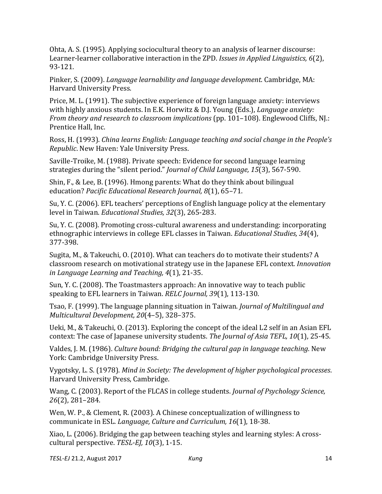Ohta, A. S. (1995). Applying sociocultural theory to an analysis of learner discourse: Learner-learner collaborative interaction in the ZPD. *Issues in Applied Linguistics*, *6*(2), 93-121.

Pinker, S. (2009). *Language learnability and language development*. Cambridge, MA: Harvard University Press.

Price, M. L.  $(1991)$ . The subjective experience of foreign language anxiety: interviews with highly anxious students. In E.K. Horwitz & D.J. Young (Eds.), *Language anxiety: From theory and research to classroom <i>implications* (pp. 101–108). Englewood Cliffs, NJ.: Prentice Hall, Inc.

Ross, H. (1993). *China learns English: Language teaching and social change in the People's Republic*. New Haven: Yale University Press.

Saville-Troike, M. (1988). Private speech: Evidence for second language learning strategies during the "silent period." *Journal of Child Language,* 15(3), 567-590.

Shin, F., & Lee, B. (1996). Hmong parents: What do they think about bilingual education? *Pacific Educational Research Journal, 8*(1), 65–71.

Su, Y. C. (2006). EFL teachers' perceptions of English language policy at the elementary level in Taiwan. *Educational Studies*, 32(3), 265-283.

Su, Y. C. (2008). Promoting cross-cultural awareness and understanding: incorporating ethnographic interviews in college EFL classes in Taiwan. *Educational Studies*, 34(4), 377-398.

Sugita, M., & Takeuchi, O. (2010). What can teachers do to motivate their students? A classroom research on motivational strategy use in the Japanese EFL context. *Innovation in Language Learning and Teaching, 4*(1), 21-35.

Sun, Y. C. (2008). The Toastmasters approach: An innovative way to teach public speaking to EFL learners in Taiwan. *RELC Journal*, 39(1), 113-130.

Tsao, F. (1999). The language planning situation in Taiwan. *Journal of Multilingual and Multicultural Development, 20*(4–5), 328–375.

Ueki, M., & Takeuchi, O. (2013). Exploring the concept of the ideal L2 self in an Asian EFL context: The case of Japanese university students. The *Journal of Asia TEFL*, 10(1), 25-45.

Valdes, J. M. (1986). *Culture bound: Bridging the cultural gap in language teaching*. New York: Cambridge University Press.

Vygotsky, L. S. (1978). *Mind in Society: The development of higher psychological processes*. Harvard University Press, Cambridge.

Wang, C. (2003). Report of the FLCAS in college students. *Journal of Psychology Science*, *26*(2), 281–284.

Wen, W. P., & Clement, R. (2003). A Chinese conceptualization of willingness to communicate in ESL. *Language, Culture and Curriculum, 16*(1), 18-38.

Xiao, L. (2006). Bridging the gap between teaching styles and learning styles: A crosscultural perspective. *TESL-EJ, 10*(3), 1-15.

*TESL-EJ* 21.2, August 2017 *Kung* 14